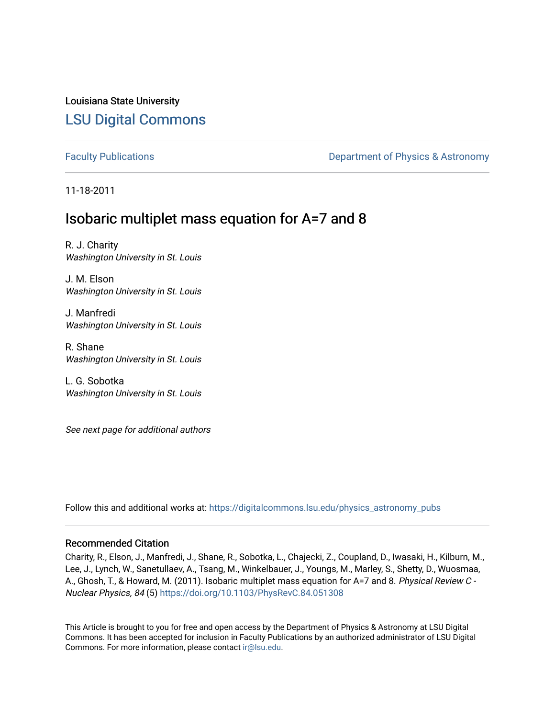Louisiana State University [LSU Digital Commons](https://digitalcommons.lsu.edu/)

[Faculty Publications](https://digitalcommons.lsu.edu/physics_astronomy_pubs) **Exercise 2 and Table 2 and Table 2 and Table 2 and Table 2 and Table 2 and Table 2 and Table 2 and Table 2 and Table 2 and Table 2 and Table 2 and Table 2 and Table 2 and Table 2 and Table 2 and Table** 

11-18-2011

# Isobaric multiplet mass equation for A=7 and 8

R. J. Charity Washington University in St. Louis

J. M. Elson Washington University in St. Louis

J. Manfredi Washington University in St. Louis

R. Shane Washington University in St. Louis

L. G. Sobotka Washington University in St. Louis

See next page for additional authors

Follow this and additional works at: [https://digitalcommons.lsu.edu/physics\\_astronomy\\_pubs](https://digitalcommons.lsu.edu/physics_astronomy_pubs?utm_source=digitalcommons.lsu.edu%2Fphysics_astronomy_pubs%2F3083&utm_medium=PDF&utm_campaign=PDFCoverPages) 

## Recommended Citation

Charity, R., Elson, J., Manfredi, J., Shane, R., Sobotka, L., Chajecki, Z., Coupland, D., Iwasaki, H., Kilburn, M., Lee, J., Lynch, W., Sanetullaev, A., Tsang, M., Winkelbauer, J., Youngs, M., Marley, S., Shetty, D., Wuosmaa, A., Ghosh, T., & Howard, M. (2011). Isobaric multiplet mass equation for A=7 and 8. Physical Review C -Nuclear Physics, 84 (5) <https://doi.org/10.1103/PhysRevC.84.051308>

This Article is brought to you for free and open access by the Department of Physics & Astronomy at LSU Digital Commons. It has been accepted for inclusion in Faculty Publications by an authorized administrator of LSU Digital Commons. For more information, please contact [ir@lsu.edu](mailto:ir@lsu.edu).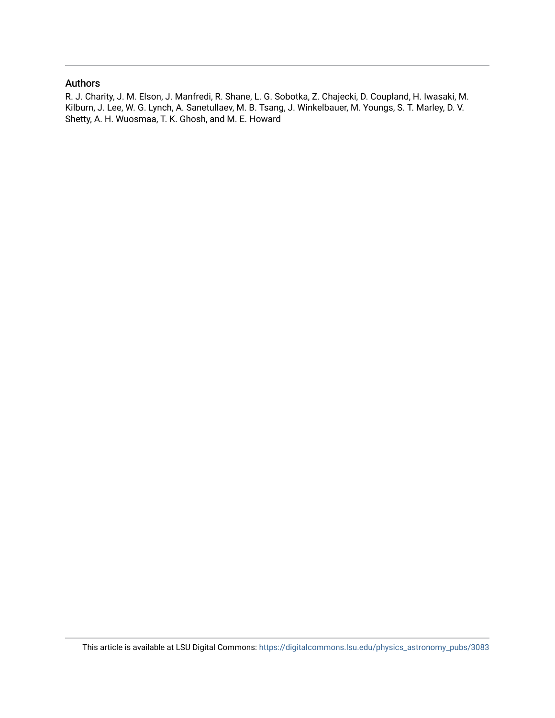## Authors

R. J. Charity, J. M. Elson, J. Manfredi, R. Shane, L. G. Sobotka, Z. Chajecki, D. Coupland, H. Iwasaki, M. Kilburn, J. Lee, W. G. Lynch, A. Sanetullaev, M. B. Tsang, J. Winkelbauer, M. Youngs, S. T. Marley, D. V. Shetty, A. H. Wuosmaa, T. K. Ghosh, and M. E. Howard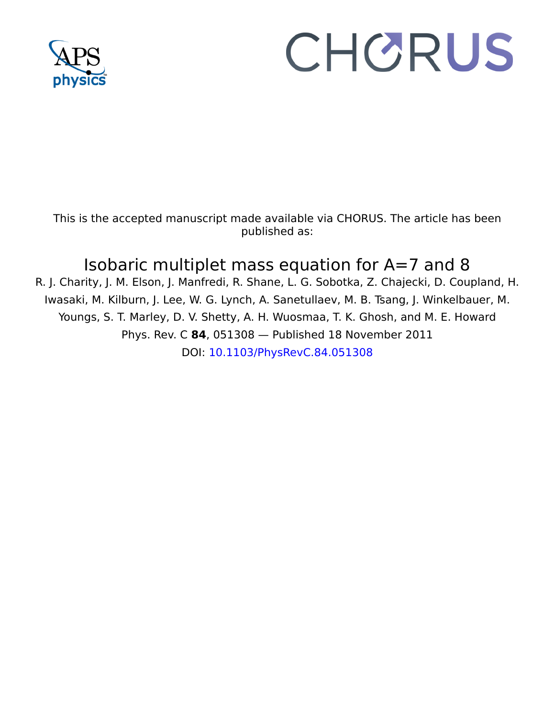

# CHORUS

This is the accepted manuscript made available via CHORUS. The article has been published as:

# Isobaric multiplet mass equation for A=7 and 8

R. J. Charity, J. M. Elson, J. Manfredi, R. Shane, L. G. Sobotka, Z. Chajecki, D. Coupland, H. Iwasaki, M. Kilburn, J. Lee, W. G. Lynch, A. Sanetullaev, M. B. Tsang, J. Winkelbauer, M. Youngs, S. T. Marley, D. V. Shetty, A. H. Wuosmaa, T. K. Ghosh, and M. E. Howard Phys. Rev. C **84**, 051308 — Published 18 November 2011 DOI: [10.1103/PhysRevC.84.051308](http://dx.doi.org/10.1103/PhysRevC.84.051308)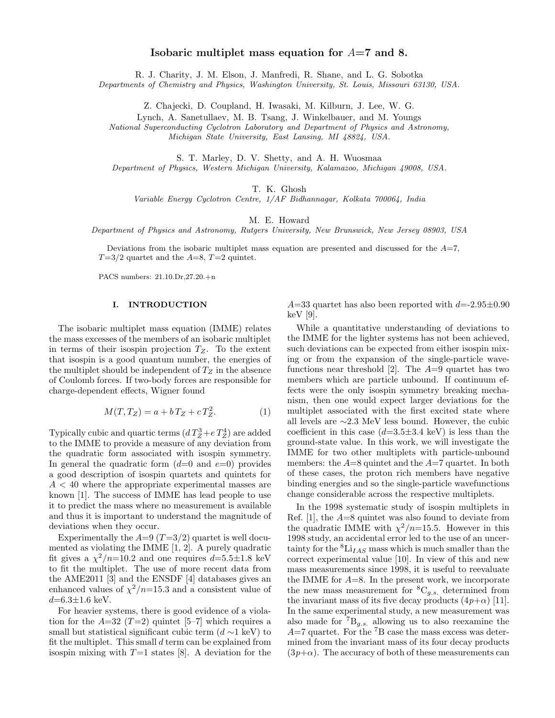# Isobaric multiplet mass equation for  $A=7$  and 8.

R. J. Charity, J. M. Elson, J. Manfredi, R. Shane, and L. G. Sobotk a

Departments of Chemistry and Physics, Washington University, St. Louis, Missouri 63130, USA.

Z. Chajecki, D. Coupland, H. Iwasaki, M. Kilburn, J. Lee, W. G.

Lynch, A. Sanetullaev, M. B. Tsang, J. Winkelbauer, and M. Youngs

National Superconducting Cyclotron Laboratory and Department of Physics and Astronomy, Michigan State University, East Lansing, MI 48824, USA.

S. T. Marley, D. V. Shetty, and A. H. Wuosmaa

Department of Physics, Western Michigan University, Kalamazoo, Michigan 49008, USA.

T. K. Ghosh

Variable Energy Cyclotron Centre, 1/AF Bidhannagar, Kolkata 700064, India

M. E. Howard

Department of Physics and Astronomy, Rutgers University, New Brunswick, New Jersey 08903, USA

Deviations from the isobaric multiplet mass equation are presented and discussed for the  $A=7$ ,  $T=3/2$  quartet and the  $A=8$ ,  $T=2$  quintet.

PACS numbers: 21.10.Dr,27.20.+n

#### I. INTRODUCTION

The isobaric multiplet mass equation (IMME) relates the mass excesses of the members of an isobaric multiplet in terms of their isospin projection  $T_Z$ . To the extent that isospin is a good quantum number, the energies of the multiplet should be independent of  $T_Z$  in the absence of Coulomb forces. If two-body forces are responsible for charge-dependent effects, Wigner found

$$
M(T, T_Z) = a + bT_Z + cT_Z^2.
$$
 (1)

Typically cubic and quartic terms  $(d T_Z^3 + e T_Z^4)$  are added to the IMME to provide a measure of any deviation from the quadratic form associated with isospin symmetry. In general the quadratic form  $(d=0 \text{ and } e=0)$  provides a good description of isospin quartets and quintets for  $A < 40$  where the appropriate experimental masses are known [1]. The success of IMME has lead people to use it to predict the mass where no measurement is available and thus it is important to understand the magnitude of deviations when they occur.

Experimentally the  $A=9$   $(T=3/2)$  quartet is well documented as violating the IMME [1, 2]. A purely quadratic fit gives a  $\chi^2/n=10.2$  and one requires  $d=5.5\pm1.8$  keV to fit the multiplet. The use of more recent data from the AME2011 [3] and the ENSDF [4] databases gives an enhanced values of  $\chi^2/n=15.3$  and a consistent value of  $d = 6.3 \pm 1.6 \text{ keV}.$ 

For heavier systems, there is good evidence of a violation for the  $A=32$  (T=2) quintet [5–7] which requires a small but statistical significant cubic term  $(d \sim 1 \text{ keV})$  to fit the multiplet. This small  $d$  term can be explained from isospin mixing with  $T=1$  states [8]. A deviation for the

 $A=33$  quartet has also been reported with  $d=2.95\pm0.90$ keV [9].

Variable Energy Cyclotron Centre,  $f(X, G)$ thesh (E. Global T. R. Global T. A. Global properties of Alexand Department of Physics and Astronomy, Rulgers University, New Brunswick, New Jersey 08903, USA Department of Physics While a quantitative understanding of deviations to the IMME for the lighter systems has not been achieved, such deviations can be expected from either isospin mixing or from the expansion of the single-particle wavefunctions near threshold [2]. The  $A=9$  quartet has two members which are particle unbound. If continuum effects were the only isospin symmetry breaking mechanism, then one would expect larger deviations for the multiplet associated with the first excited state where all levels are ∼2.3 MeV less bound. However, the cubic coefficient in this case  $(d=3.5\pm3.4 \text{ keV})$  is less than the ground-state value. In this work, we will investigate the IMME for two other multiplets with particle-unbound members: the A=8 quintet and the A=7 quartet. In both of these cases, the proton rich members have negative binding energies and so the single-particle wavefunctions change considerable across the respective multiplets.

In the 1998 systematic study of isospin multiplets in Ref. [1], the A=8 quintet was also found to deviate from the quadratic IMME with  $\chi^2/n=15.5$ . However in this 1998 study, an accidental error led to the use of an uncertainty for the  ${}^{8}\text{Li}_{IAS}$  mass which is much smaller than the correct experimental value [10]. In view of this and new mass measurements since 1998, it is useful to reevaluate the IMME for  $A=8$ . In the present work, we incorporate the new mass measurement for  ${}^{8}C_{g.s.}$  determined from the invariant mass of its five decay products  $(4p+\alpha)$  [11]. In the same experimental study, a new measurement was also made for  ${}^{7}B_{g.s.}$  allowing us to also reexamine the  $A=7$  quartet. For the  ${}^{7}B$  case the mass excess was determined from the invariant mass of its four decay products  $(3p+\alpha)$ . The accuracy of both of these measurements can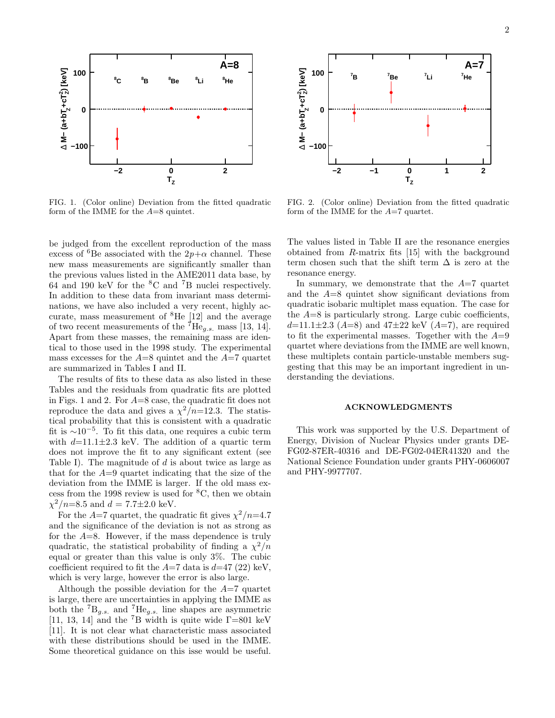

FIG. 1. (Color online) Deviation from the fitted quadratic form of the IMME for the  $A=8$  quintet.

be judged from the excellent reproduction of the mass excess of <sup>6</sup>Be associated with the  $2p+\alpha$  channel. These new mass measurements are significantly smaller than the previous values listed in the AME2011 data base, by 64 and 190 keV for the <sup>8</sup>C and <sup>7</sup>B nuclei respectively. In addition to these data from invariant mass determinations, we have also included a very recent, highly accurate, mass measurement of <sup>8</sup>He [12] and the average of two recent measurements of the  ${}^{7}He_{g.s.}$  mass [13, 14]. Apart from these masses, the remaining mass are identical to those used in the 1998 study. The experimental mass excesses for the  $A=8$  quintet and the  $A=7$  quartet are summarized in Tables I and II.

The results of fits to these data as also listed in these Tables and the residuals from quadratic fits are plotted in Figs. 1 and 2. For A=8 case, the quadratic fit does not reproduce the data and gives a  $\chi^2/n=12.3$ . The statistical probability that this is consistent with a quadratic fit is  $\sim 10^{-5}$ . To fit this data, one requires a cubic term with  $d=11.1\pm2.3$  keV. The addition of a quartic term does not improve the fit to any significant extent (see Table I). The magnitude of  $d$  is about twice as large as that for the  $A=9$  quartet indicating that the size of the deviation from the IMME is larger. If the old mass excess from the 1998 review is used for  ${}^{8}C$ , then we obtain  $\chi^2/n = 8.5$  and  $d = 7.7 \pm 2.0$  keV.

For the  $A=7$  quartet, the quadratic fit gives  $\chi^2/n=4.7$ and the significance of the deviation is not as strong as for the  $A=8$ . However, if the mass dependence is truly quadratic, the statistical probability of finding a  $\chi^2/n$ equal or greater than this value is only 3%. The cubic coefficient required to fit the  $A=7$  data is  $d=47$  (22) keV, which is very large, however the error is also large.

Although the possible deviation for the  $A=7$  quartet is large, there are uncertainties in applying the IMME as both the  ${}^{7}B_{g.s.}$  and  ${}^{7}He_{g.s.}$  line shapes are asymmetric [11, 13, 14] and the <sup>7</sup>B width is quite wide  $\Gamma$ =801 keV [11]. It is not clear what characteristic mass associated with these distributions should be used in the IMME. Some theoretical guidance on this isse would be useful.



FIG. 2. (Color online) Deviation from the fitted quadratic form of the IMME for the  $A=7$  quartet.

The values listed in Table II are the resonance energies obtained from R-matrix fits [15] with the background term chosen such that the shift term  $\Delta$  is zero at the resonance energy.

In summary, we demonstrate that the  $A=7$  quartet and the A=8 quintet show significant deviations from quadratic isobaric multiplet mass equation. The case for the  $A=8$  is particularly strong. Large cubic coefficients,  $d=11.1\pm2.3$  (A=8) and  $47\pm22$  keV (A=7), are required to fit the experimental masses. Together with the  $A=9$ quartet where deviations from the IMME are well known, these multiplets contain particle-unstable members suggesting that this may be an important ingredient in understanding the deviations.

### ACKNOWLEDGMENTS

This work was supported by the U.S. Department of Energy, Division of Nuclear Physics under grants DE-FG02-87ER-40316 and DE-FG02-04ER41320 and the National Science Foundation under grants PHY-0606007 and PHY-9977707.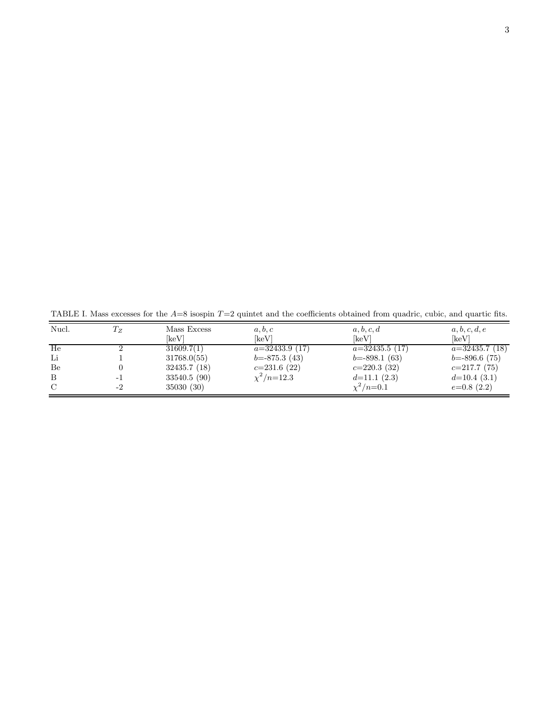TABLE I. Mass excesses for the  $A=8$  isospin  $T=2$  quintet and the coefficients obtained from quadric, cubic, and quartic fits.

| Nucl. | $T_{Z}$ | Mass Excess  | a, b, c           | a, b, c, d       | a, b, c, d, e    |
|-------|---------|--------------|-------------------|------------------|------------------|
|       |         | [keV]        | [keV]             | 「keV]            | [keV]            |
| He    |         | 31609.7(1)   | $a=32433.9(17)$   | $a=32435.5(17)$  | $a=32435.7(18)$  |
| Li    |         | 31768.0(55)  | $b = -875.3(43)$  | $b = -898.1(63)$ | $b = -896.6(75)$ |
| Be    |         | 32435.7(18)  | $c=231.6(22)$     | $c=220.3(32)$    | $c=217.7(75)$    |
| B     |         | 33540.5 (90) | $\chi^2/n = 12.3$ | $d=11.1(2.3)$    | $d=10.4(3.1)$    |
| C     | -2      | 35030 (30)   |                   | $\chi^2/n = 0.1$ | $e=0.8(2.2)$     |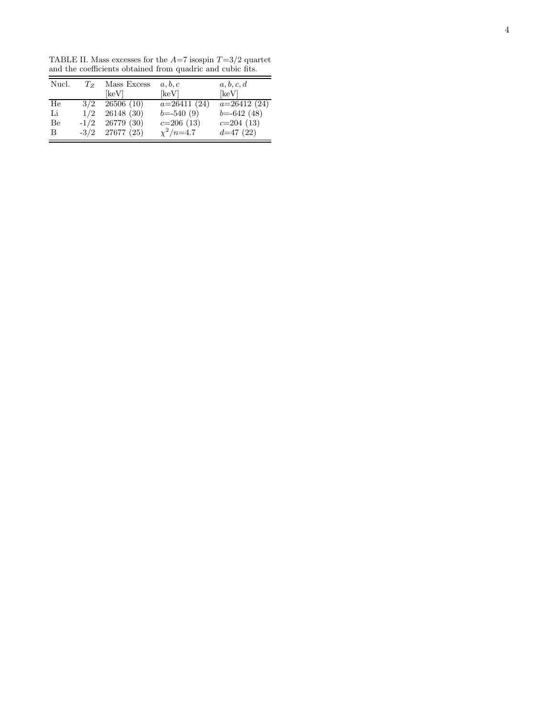TABLE II. Mass excesses for the  $A=7$  isospin  $T=3/2$  quartet and the coefficients obtained from quadric and cubic fits.

| Nucl. | $T_{Z}$ | Mass Excess       | a, b, c          | a, b, c, d     |  |  |
|-------|---------|-------------------|------------------|----------------|--|--|
|       |         | keV               | [keV]            | [keV]          |  |  |
| He    | 3/2     | 26506(10)         | $a=26411(24)$    | $a=26412(24)$  |  |  |
| Li    | 1/2     | 26148 (30)        | $b = -540(9)$    | $b = -642(48)$ |  |  |
| Be    | $-1/2$  | 26779 (30)        | $c=206(13)$      | $c=204(13)$    |  |  |
| B     |         | $-3/2$ 27677 (25) | $\chi^2/n = 4.7$ | $d=47(22)$     |  |  |